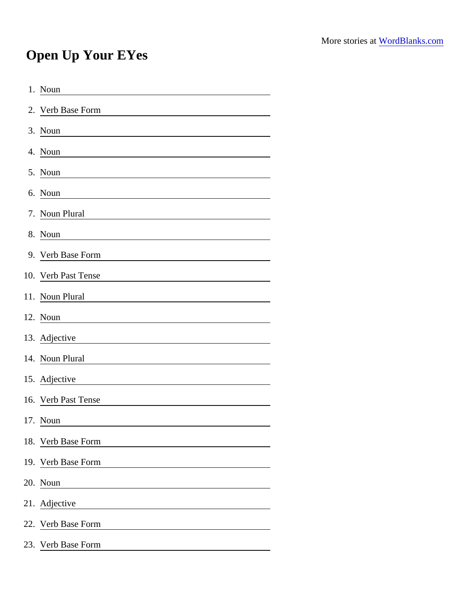## Open Up Your EYes

| 1. Noun                                                                                                                          |
|----------------------------------------------------------------------------------------------------------------------------------|
| 2. Verb Base Form                                                                                                                |
| 3. Noun                                                                                                                          |
| 4. Noun                                                                                                                          |
| 5. Noun                                                                                                                          |
| 6. Noun<br><u> 1989 - Johann John Stein, mars ar breist fan de ferstjer fan de ferstjer fan de ferstjer fan de ferstjer fan </u> |
| 7. Noun Plural                                                                                                                   |
| 8. Noun                                                                                                                          |
| 9. Verb Base Form                                                                                                                |
| 10. Verb Past Tense                                                                                                              |
| 11. Noun Plural                                                                                                                  |
| 12. Noun                                                                                                                         |
| 13. Adjective                                                                                                                    |
| 14. Noun Plural                                                                                                                  |
| 15. Adjective                                                                                                                    |
| 16. Verb Past Tense                                                                                                              |
| 17. Noun                                                                                                                         |
| 18. Verb Base Form                                                                                                               |
| 19. Verb Base Form                                                                                                               |
| 20. Noun<br><u> 1980 - Jan Samuel Barbara, martin di</u>                                                                         |
| 21. Adjective                                                                                                                    |
| 22. Verb Base Form                                                                                                               |
| 23. Verb Base Form                                                                                                               |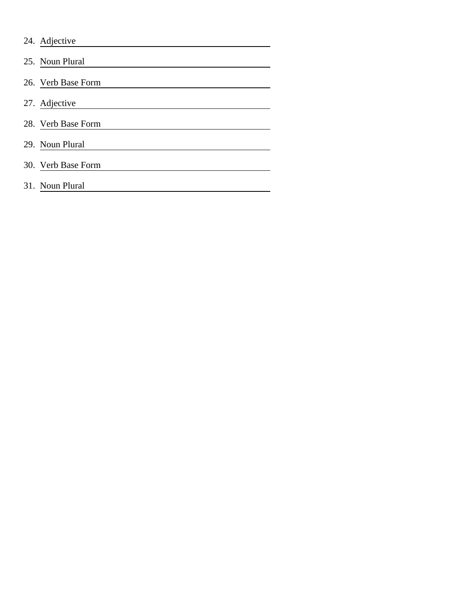| 24. Adjective      |
|--------------------|
| 25. Noun Plural    |
| 26. Verb Base Form |
| 27. Adjective      |
| 28. Verb Base Form |
| 29. Noun Plural    |
| 30. Verb Base Form |
| 31. Noun Plural    |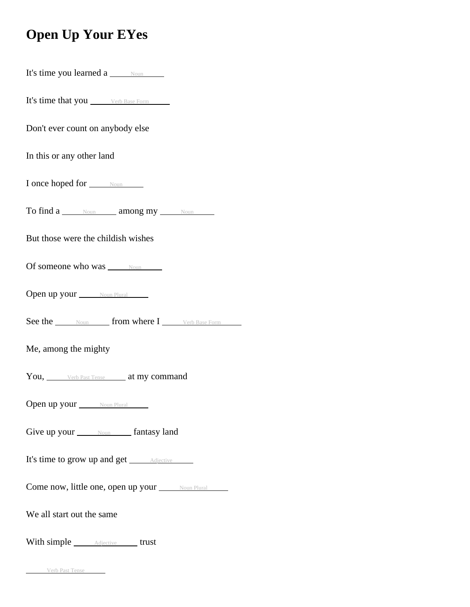## **Open Up Your EYes**

| It's time you learned a <u>Noun</u>                   |  |  |
|-------------------------------------------------------|--|--|
| It's time that you <i>verb Base Form</i>              |  |  |
| Don't ever count on anybody else                      |  |  |
| In this or any other land                             |  |  |
| I once hoped for <u>Noun</u>                          |  |  |
| To find a Noun among my Noun                          |  |  |
| But those were the childish wishes                    |  |  |
| Of someone who was Noun                               |  |  |
| Open up your Noun Plural                              |  |  |
|                                                       |  |  |
| See the Noun from where I Verb Base Form              |  |  |
| Me, among the mighty                                  |  |  |
| You, Verb Past Tense at my command                    |  |  |
| Open up your Noun Plural                              |  |  |
| Give up your <b>Noum</b> fantasy land                 |  |  |
| It's time to grow up and get <i>Adjective</i>         |  |  |
| Come now, little one, open up your <u>soun Plural</u> |  |  |
| We all start out the same                             |  |  |

Verb Past Tense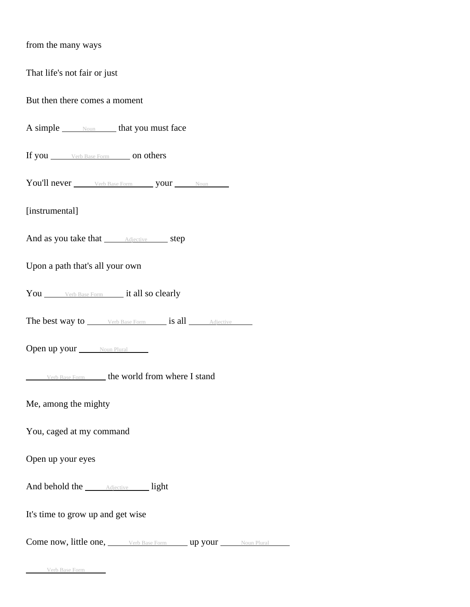| from the many ways                                            |
|---------------------------------------------------------------|
| That life's not fair or just                                  |
| But then there comes a moment                                 |
| A simple <u>some section</u> that you must face               |
| If you <u>verb Base Form</u> on others                        |
| You'll never ______ Verb Base Form _______ your _______ Noun  |
| [instrumental]                                                |
| And as you take that <u>Adjective</u> step                    |
| Upon a path that's all your own                               |
| You _______ Verb Base Form _______ it all so clearly          |
| <b>The best way to</b> Verb Base Form <b>is all</b> Adjective |
| <b>Open up your</b> Noun Plural                               |
| Verb Base Form <b>the world from where I stand</b>            |
| Me, among the mighty                                          |
| You, caged at my command                                      |
| Open up your eyes                                             |
| And behold the <i><u>Adjective light</u></i>                  |
| It's time to grow up and get wise                             |
| Come now, little one, Werb Base Form up your Noun Plural      |

Verb Base Form